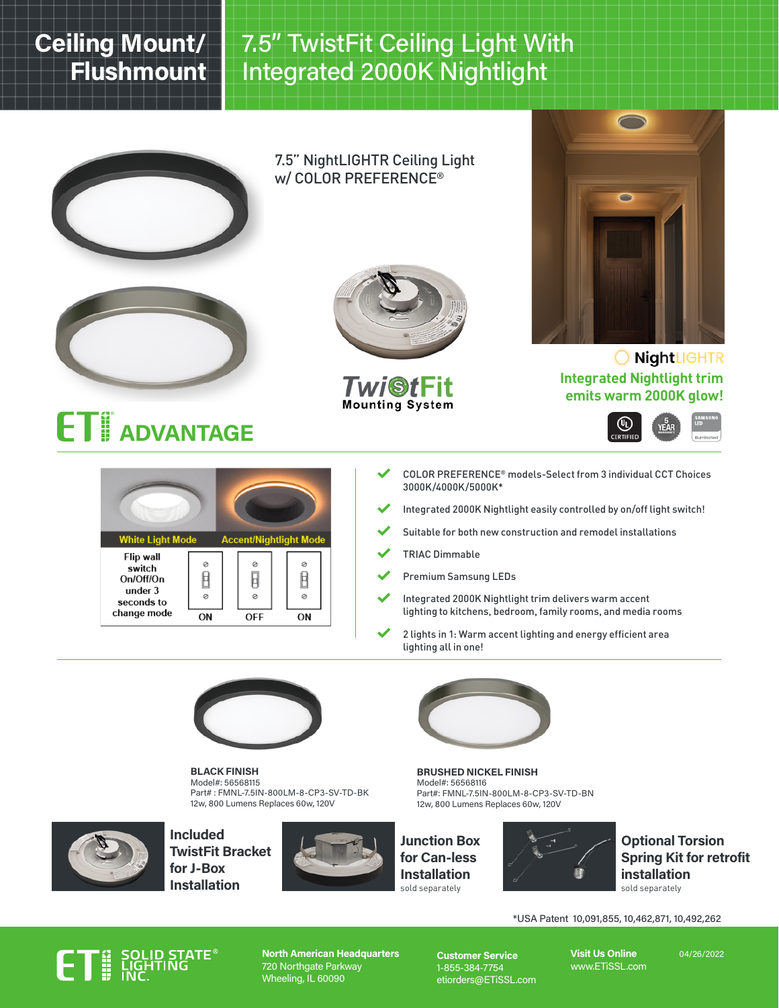## Ceiling Mount/ Flushmount

## 7.5" TwistFit Ceiling Light With Integrated 2000K Nightlight



BLACK FINISH Model#: 56568115 Part# : FMNL-7.5IN-800LM-8-CP3-SV-TD-BK 12w, 800 Lumens Replaces 60w, 120V



Included TwistFit Bracket for J-Box Installation



BRUSHED NICKEL FINISH Model#: 56568116 Part#: FMNL-7.5IN-800LM-8-CP3-SV-TD-BN 12w, 800 Lumens Replaces 60w, 120V





### Optional Torsion Spring Kit for retrofit **installation**<br>sold separately

\*USA Patent 10,091,855, 10,462,871, 10,492,262

# **MALIGE**<br>THE LIGHT

North American Headquarters 720 Northgate Parkway Wheeling, IL 60090

Customer Service 1-855-384-7754 etiorders@ETiSSL.com Visit Us Online www.ETiSSL.com

04/26/2022